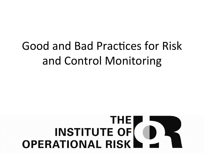# Good and Bad Practices for Risk and Control Monitoring

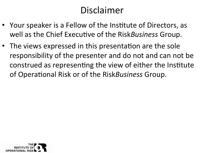### Disclaimer

- Your speaker is a Fellow of the Institute of Directors, as well as the Chief Executive of the Risk *Business* Group.
- The views expressed in this presentation are the sole responsibility of the presenter and do not and can not be construed as representing the view of either the Institute of Operational Risk or of the Risk Business Group.

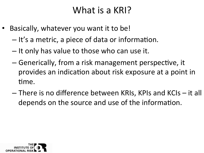#### What is a KRI?

- Basically, whatever you want it to be!
	- $-$  It's a metric, a piece of data or information.
	- $-$  It only has value to those who can use it.
	- $-$  Generically, from a risk management perspective, it provides an indication about risk exposure at a point in time.
	- $-$  There is no difference between KRIs, KPIs and KCIs  $-$  it all depends on the source and use of the information.

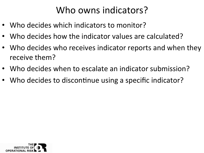### Who owns indicators?

- Who decides which indicators to monitor?
- Who decides how the indicator values are calculated?
- Who decides who receives indicator reports and when they receive them?
- Who decides when to escalate an indicator submission?
- Who decides to discontinue using a specific indicator?

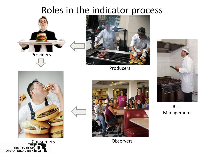#### Roles in the indicator process





Producers 



Risk Management 







Consumers **Consumers**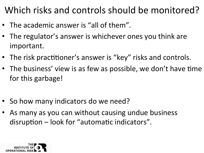# Which risks and controls should be monitored?

- The academic answer is "all of them".
- The regulator's answer is whichever ones you think are important.
- The risk practitioner's answer is "key" risks and controls.
- The business' view is as few as possible, we don't have time for this garbage!
- So how many indicators do we need?
- As many as you can without causing undue business disruption  $-$  look for "automatic indicators".

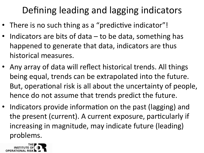# Defining leading and lagging indicators

- There is no such thing as a "predictive indicator"!
- Indicators are bits of data  $-$  to be data, something has happened to generate that data, indicators are thus historical measures.
- Any array of data will reflect historical trends. All things being equal, trends can be extrapolated into the future. But, operational risk is all about the uncertainty of people, hence do not assume that trends predict the future.
- Indicators provide information on the past (lagging) and the present (current). A current exposure, particularly if increasing in magnitude, may indicate future (leading) problems.

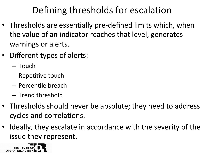# Defining thresholds for escalation

- Thresholds are essentially pre-defined limits which, when the value of an indicator reaches that level, generates warnings or alerts.
- Different types of alerts:
	- Touch
	- $-$  Repetitive touch
	- $-$  Percentile breach
	- Trend threshold
- Thresholds should never be absolute; they need to address cycles and correlations.
- Ideally, they escalate in accordance with the severity of the issue they represent.

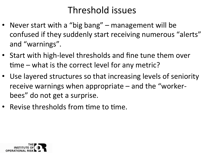## Threshold issues

- Never start with a "big bang" management will be confused if they suddenly start receiving numerous "alerts" and "warnings".
- Start with high-level thresholds and fine tune them over  $time$  – what is the correct level for any metric?
- Use layered structures so that increasing levels of seniority receive warnings when appropriate  $-$  and the "workerbees" do not get a surprise.
- Revise thresholds from time to time.

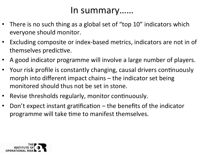#### In summary……

- There is no such thing as a global set of "top 10" indicators which everyone should monitor.
- Excluding composite or index-based metrics, indicators are not in of themselves predictive.
- A good indicator programme will involve a large number of players.
- Your risk profile is constantly changing, causal drivers continuously morph into different impact chains  $-$  the indicator set being monitored should thus not be set in stone.
- Revise thresholds regularly, monitor continuously.
- Don't expect instant gratification  $-$  the benefits of the indicator programme will take time to manifest themselves.